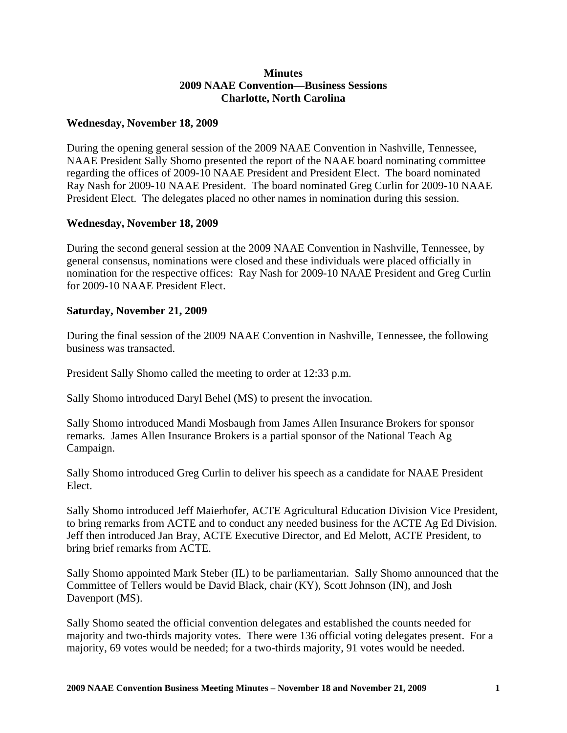## **Minutes 2009 NAAE Convention—Business Sessions Charlotte, North Carolina**

## **Wednesday, November 18, 2009**

During the opening general session of the 2009 NAAE Convention in Nashville, Tennessee, NAAE President Sally Shomo presented the report of the NAAE board nominating committee regarding the offices of 2009-10 NAAE President and President Elect. The board nominated Ray Nash for 2009-10 NAAE President. The board nominated Greg Curlin for 2009-10 NAAE President Elect. The delegates placed no other names in nomination during this session.

## **Wednesday, November 18, 2009**

During the second general session at the 2009 NAAE Convention in Nashville, Tennessee, by general consensus, nominations were closed and these individuals were placed officially in nomination for the respective offices: Ray Nash for 2009-10 NAAE President and Greg Curlin for 2009-10 NAAE President Elect.

## **Saturday, November 21, 2009**

During the final session of the 2009 NAAE Convention in Nashville, Tennessee, the following business was transacted.

President Sally Shomo called the meeting to order at 12:33 p.m.

Sally Shomo introduced Daryl Behel (MS) to present the invocation.

Sally Shomo introduced Mandi Mosbaugh from James Allen Insurance Brokers for sponsor remarks. James Allen Insurance Brokers is a partial sponsor of the National Teach Ag Campaign.

Sally Shomo introduced Greg Curlin to deliver his speech as a candidate for NAAE President Elect.

Sally Shomo introduced Jeff Maierhofer, ACTE Agricultural Education Division Vice President, to bring remarks from ACTE and to conduct any needed business for the ACTE Ag Ed Division. Jeff then introduced Jan Bray, ACTE Executive Director, and Ed Melott, ACTE President, to bring brief remarks from ACTE.

Sally Shomo appointed Mark Steber (IL) to be parliamentarian. Sally Shomo announced that the Committee of Tellers would be David Black, chair (KY), Scott Johnson (IN), and Josh Davenport (MS).

Sally Shomo seated the official convention delegates and established the counts needed for majority and two-thirds majority votes. There were 136 official voting delegates present. For a majority, 69 votes would be needed; for a two-thirds majority, 91 votes would be needed.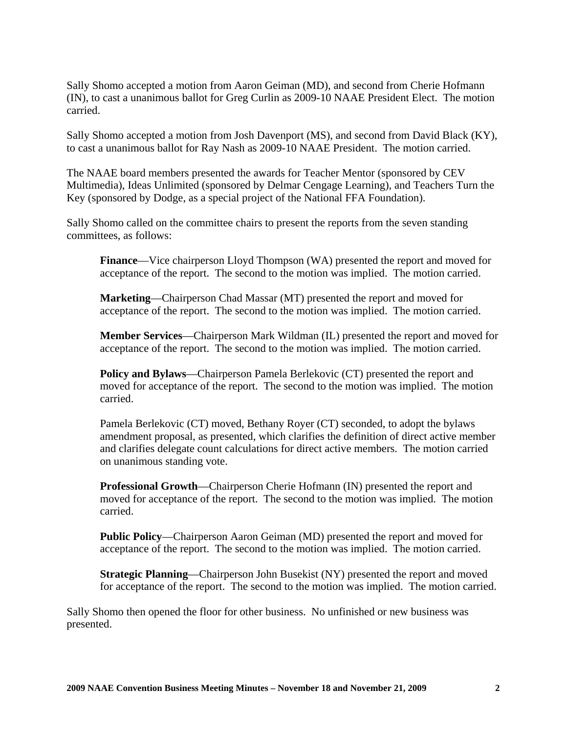Sally Shomo accepted a motion from Aaron Geiman (MD), and second from Cherie Hofmann (IN), to cast a unanimous ballot for Greg Curlin as 2009-10 NAAE President Elect. The motion carried.

Sally Shomo accepted a motion from Josh Davenport (MS), and second from David Black (KY), to cast a unanimous ballot for Ray Nash as 2009-10 NAAE President. The motion carried.

The NAAE board members presented the awards for Teacher Mentor (sponsored by CEV Multimedia), Ideas Unlimited (sponsored by Delmar Cengage Learning), and Teachers Turn the Key (sponsored by Dodge, as a special project of the National FFA Foundation).

Sally Shomo called on the committee chairs to present the reports from the seven standing committees, as follows:

**Finance**—Vice chairperson Lloyd Thompson (WA) presented the report and moved for acceptance of the report. The second to the motion was implied. The motion carried.

**Marketing**—Chairperson Chad Massar (MT) presented the report and moved for acceptance of the report. The second to the motion was implied. The motion carried.

**Member Services**—Chairperson Mark Wildman (IL) presented the report and moved for acceptance of the report. The second to the motion was implied. The motion carried.

**Policy and Bylaws—Chairperson Pamela Berlekovic (CT) presented the report and** moved for acceptance of the report. The second to the motion was implied. The motion carried.

Pamela Berlekovic (CT) moved, Bethany Royer (CT) seconded, to adopt the bylaws amendment proposal, as presented, which clarifies the definition of direct active member and clarifies delegate count calculations for direct active members. The motion carried on unanimous standing vote.

**Professional Growth**—Chairperson Cherie Hofmann (IN) presented the report and moved for acceptance of the report. The second to the motion was implied. The motion carried.

**Public Policy**—Chairperson Aaron Geiman (MD) presented the report and moved for acceptance of the report. The second to the motion was implied. The motion carried.

**Strategic Planning**—Chairperson John Busekist (NY) presented the report and moved for acceptance of the report. The second to the motion was implied. The motion carried.

Sally Shomo then opened the floor for other business. No unfinished or new business was presented.